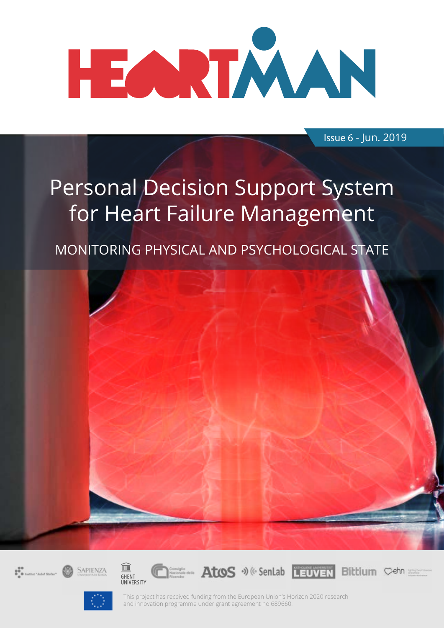

Issue 6 - Jun. 2019

## Personal Decision Support System for Heart Failure Management

MONITORING PHYSICAL AND PSYCHOLOGICAL STATE











This project has received funding from the European Union's Horizon 2020 research and innovation programme under grant agreement no 689660.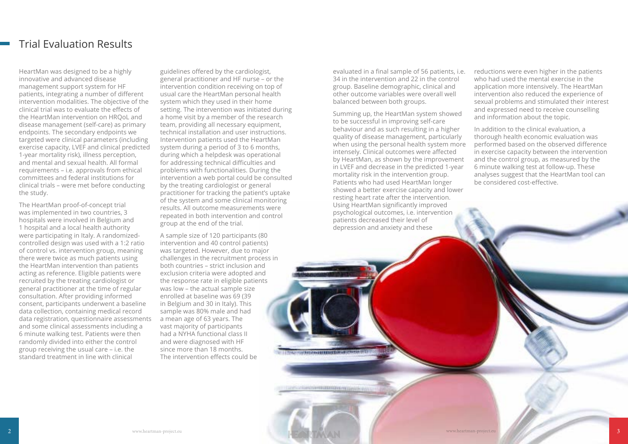HeartMan was designed to be a highly innovative and advanced disease management support system for HF patients, integrating a number of different intervention modalities. The objective of the clinical trial was to evaluate the effects of the HeartMan intervention on HRQoL and disease management (self-care) as primary endpoints. The secondary endpoints we targeted were clinical parameters (including exercise capacity, LVEF and clinical predicted 1-year mortality risk), illness perception, and mental and sexual health. All formal requirements – i.e. approvals from ethical committees and federal institutions for clinical trials – were met before conducting the study.

The HeartMan proof-of-concept trial was implemented in two countries, 3 hospitals were involved in Belgium and 1 hospital and a local health authority were participating in Italy. A randomizedcontrolled design was used with a 1:2 ratio of control vs. intervention group, meaning there were twice as much patients using the HeartMan intervention than patients acting as reference. Eligible patients were recruited by the treating cardiologist or general practitioner at the time of regular consultation. After providing informed consent, participants underwent a baseline data collection, containing medical record data registration, questionnaire assessments and some clinical assessments including a 6 minute walking test. Patients were then randomly divided into either the control group receiving the usual care – i.e. the standard treatment in line with clinical

guidelines offered by the cardiologist, general practitioner and HF nurse – or the intervention condition receiving on top of usual care the HeartMan personal health system which they used in their home setting. The intervention was initiated during a home visit by a member of the research team, providing all necessary equipment, technical installation and user instructions. Intervention patients used the HeartMan system during a period of 3 to 6 months, during which a helpdesk was operational for addressing technical difficulties and problems with functionalities. During the intervention a web portal could be consulted by the treating cardiologist or general practitioner for tracking the patient's uptake of the system and some clinical monitoring results. All outcome measurements were repeated in both intervention and control group at the end of the trial.

A sample size of 120 participants (80 intervention and 40 control patients) was targeted. However, due to major challenges in the recruitment process in both countries – strict inclusion and exclusion criteria were adopted and the response rate in eligible patients was low – the actual sample size enrolled at baseline was 69 (39 in Belgium and 30 in Italy). This sample was 80% male and had a mean age of 63 years. The vast majority of participants had a NYHA functional class II and were diagnosed with HF since more than 18 months. The intervention effects could be

#### Trial Evaluation Results

evaluated in a final sample of 56 patients, i.e. 34 in the intervention and 22 in the control group. Baseline demographic, clinical and other outcome variables were overall well balanced between both groups.

Summing up, the HeartMan system showed to be successful in improving self-care behaviour and as such resulting in a higher quality of disease management, particularly when using the personal health system more intensely. Clinical outcomes were affected by HeartMan, as shown by the improvement in LVEF and decrease in the predicted 1-year mortality risk in the intervention group. Patients who had used HeartMan longer showed a better exercise capacity and lower resting heart rate after the intervention. Using HeartMan significantly improved psychological outcomes, i.e. intervention patients decreased their level of depression and anxiety and these

**EXPARTMENT CONTRACTOR CONTRACTOR** 

AS EXPENSIVE EXECUTIVE PRESENTATION IN A VEHICLE

reductions were even higher in the patients who had used the mental exercise in the application more intensively. The HeartMan intervention also reduced the experience of sexual problems and stimulated their interest and expressed need to receive counselling and information about the topic.

In addition to the clinical evaluation, a thorough health economic evaluation was performed based on the observed difference in exercise capacity between the intervention and the control group, as measured by the 6 minute walking test at follow-up. These analyses suggest that the HeartMan tool can be considered cost-effective.

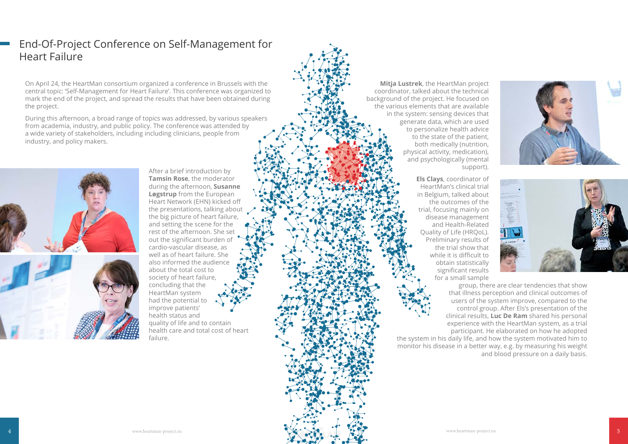On April 24, the HeartMan consortium organized a conference in Brussels with the central topic: 'Self-Management for Heart Failure'. This conference was organized to mark the end of the project, and spread the results that have been obtained during the project.

During this afternoon, a broad range of topics was addressed, by various speakers from academia, industry, and public policy. The conference was attended by a wide variety of stakeholders, including including clinicians, people from industry, and policy makers.



After a brief introduction by **Tamsin Rose**, the moderator during the afternoon, **Susanne Løgstrup** from the European Heart Network (EHN) kicked off the presentations, talking about the big picture of heart failure, and setting the scene for the rest of the afternoon. She set out the significant burden of cardio-vascular disease, as well as of heart failure. She also informed the audience about the total cost to society of heart failure, concluding that the HeartMan system had the potential to improve patients' health status and quality of life and to contain health care and total cost of heart failure.

#### End-Of-Project Conference on Self-Management for Heart Failure

**Mitja Lustrek**, the HeartMan project coordinator, talked about the technical background of the project. He focused on the various elements that are available in the system: sensing devices that generate data, which are used to personalize health advice to the state of the patient, both medically (nutrition, physical activity, medication), and psychologically (mental support).

> **Els Clays**, coordinator of HeartMan's clinical trial in Belgium, talked about the outcomes of the trial, focusing mainly on disease management and Health-Related Quality of Life (HRQoL). Preliminary results of the trial show that while it is difficult to obtain statistically significant results for a small sample

group, there are clear tendencies that show that illness perception and clinical outcomes of users of the system improve, compared to the control group. After Els's presentation of the clinical results, **Luc De Ram** shared his personal experience with the HeartMan system, as a trial participant. He elaborated on how he adopted and blood pressure on a daily basis.

the system in his daily life, and how the system motivated him to monitor his disease in a better way, e.g. by measuring his weight



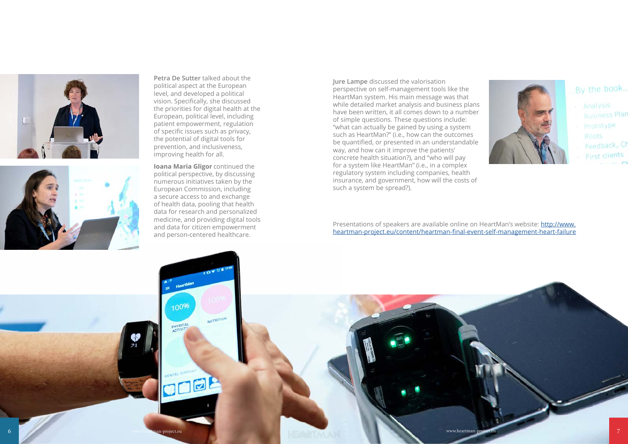





### By the book...

- Analysis
- **Business Plan**
- Prototype
- Pilots
- Feedback, Ch
- First clients





**Petra De Sutter** talked about the political aspect at the European level, and developed a political vision. Specifically, she discussed the priorities for digital health at the European, political level, including patient empowerment, regulation of specific issues such as privacy, the potential of digital tools for prevention, and inclusiveness, improving health for all.

**Ioana Maria Gligor** continued the political perspective, by discussing numerous initiatives taken by the European Commission, including a secure access to and exchange of health data, pooling that health data for research and personalized medicine, and providing digital tools and data for citizen empowerment and person-centered healthcare.

**Jure Lampe** discussed the valorisation perspective on self-management tools like the HeartMan system. His main message was that while detailed market analysis and business plans have been written, it all comes down to a number of simple questions. These questions include: "what can actually be gained by using a system such as HeartMan?" (i.e., how can the outcomes be quantified, or presented in an understandable way, and how can it improve the patients' concrete health situation?), and "who will pay for a system like HeartMan" (i.e., in a complex regulatory system including companies, health insurance, and government, how will the costs of such a system be spread?).

Presentations of speakers are available online on HeartMan's website: [http://www.](http://www.heartman-project.eu/content/heartman-final-event-self-management-heart-failure
) [heartman-project.eu/content/heartman-final-event-self-management-heart-failure](http://www.heartman-project.eu/content/heartman-final-event-self-management-heart-failure
)